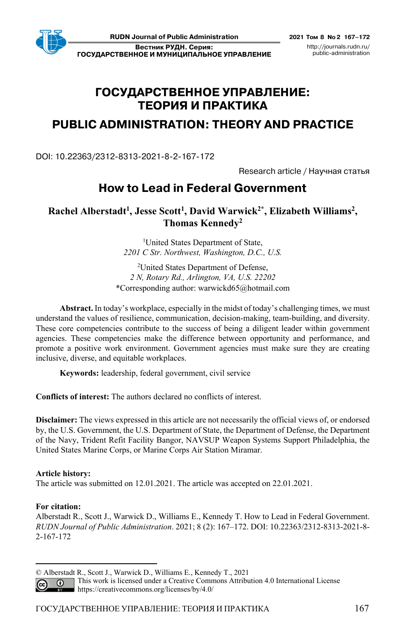**Вестник РУДН. Серия: ГОСУДАРСТВЕННОЕ И МУНИЦИПАЛЬНОЕ УПРАВЛЕНИЕ**

# **ГОСУДАРСТВЕННОЕ УПРАВЛЕНИЕ: ТЕОРИЯ И ПРАКТИКА**

# **PUBLIC ADMINISTRATION: THEORY AND PRACTICE**

DOI: 10.22363/2312-8313-2021-8-2-167-172

Research article / Научная статья

# **How to Lead in Federal Government**

Rachel Alberstadt<sup>1</sup>, Jesse Scott<sup>1</sup>, David Warwick<sup>2\*</sup>, Elizabeth Williams<sup>2</sup>, **Thomas Kennedy2**

> <sup>1</sup>United States Department of State, *2201 C Str. Northwest, Washington, D.C., U.S.*

<sup>2</sup>United States Department of Defense, *2 N, Rotary Rd., Arlington, VA, U.S. 22202*  \*Corresponding author: warwickd65@hotmail.com

**Abstract.** In today's workplace, especially in the midst of today's challenging times, we must understand the values of resilience, communication, decision-making, team-building, and diversity. These core competencies contribute to the success of being a diligent leader within government agencies. These competencies make the difference between opportunity and performance, and promote a positive work environment. Government agencies must make sure they are creating inclusive, diverse, and equitable workplaces.

**Keywords:** leadership, federal government, civil service

**Conflicts of interest:** The authors declared no conflicts of interest.

**Disclaimer:** The views expressed in this article are not necessarily the official views of, or endorsed by, the U.S. Government, the U.S. Department of State, the Department of Defense, the Department of the Navy, Trident Refit Facility Bangor, NAVSUP Weapon Systems Support Philadelphia, the United States Marine Corps, or Marine Corps Air Station Miramar.

## **Article history:**

The article was submitted on 12.01.2021. The article was accepted on 22.01.2021.

## **For citation:**

Alberstadt R., Scott J., Warwick D., Williams E., Kennedy T. How to Lead in Federal Government. *RUDN Journal of Public Administration*. 2021; 8 (2): 167–172. DOI: 10.22363/2312-8313-2021-8- 2-167-172

This work is licensed under a Creative Commons Attribution 4.0 International License  $\odot$ https://creativecommons.org/licenses/by/4.0/

<sup>©</sup> Alberstadt R., Scott J., Warwick D., Williams E., Kennedy T., 2021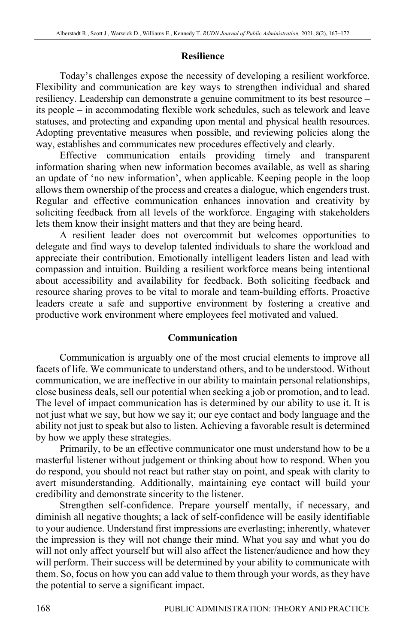### **Resilience**

Today's challenges expose the necessity of developing a resilient workforce. Flexibility and communication are key ways to strengthen individual and shared resiliency. Leadership can demonstrate a genuine commitment to its best resource – its people – in accommodating flexible work schedules, such as telework and leave statuses, and protecting and expanding upon mental and physical health resources. Adopting preventative measures when possible, and reviewing policies along the way, establishes and communicates new procedures effectively and clearly.

Effective communication entails providing timely and transparent information sharing when new information becomes available, as well as sharing an update of 'no new information', when applicable. Keeping people in the loop allows them ownership of the process and creates a dialogue, which engenders trust. Regular and effective communication enhances innovation and creativity by soliciting feedback from all levels of the workforce. Engaging with stakeholders lets them know their insight matters and that they are being heard.

A resilient leader does not overcommit but welcomes opportunities to delegate and find ways to develop talented individuals to share the workload and appreciate their contribution. Emotionally intelligent leaders listen and lead with compassion and intuition. Building a resilient workforce means being intentional about accessibility and availability for feedback. Both soliciting feedback and resource sharing proves to be vital to morale and team-building efforts. Proactive leaders create a safe and supportive environment by fostering a creative and productive work environment where employees feel motivated and valued.

#### **Communication**

Communication is arguably one of the most crucial elements to improve all facets of life. We communicate to understand others, and to be understood. Without communication, we are ineffective in our ability to maintain personal relationships, close business deals, sell our potential when seeking a job or promotion, and to lead. The level of impact communication has is determined by our ability to use it. It is not just what we say, but how we say it; our eye contact and body language and the ability not just to speak but also to listen. Achieving a favorable result is determined by how we apply these strategies.

Primarily, to be an effective communicator one must understand how to be a masterful listener without judgement or thinking about how to respond. When you do respond, you should not react but rather stay on point, and speak with clarity to avert misunderstanding. Additionally, maintaining eye contact will build your credibility and demonstrate sincerity to the listener.

Strengthen self-confidence. Prepare yourself mentally, if necessary, and diminish all negative thoughts; a lack of self-confidence will be easily identifiable to your audience. Understand first impressions are everlasting; inherently, whatever the impression is they will not change their mind. What you say and what you do will not only affect yourself but will also affect the listener/audience and how they will perform. Their success will be determined by your ability to communicate with them. So, focus on how you can add value to them through your words, as they have the potential to serve a significant impact.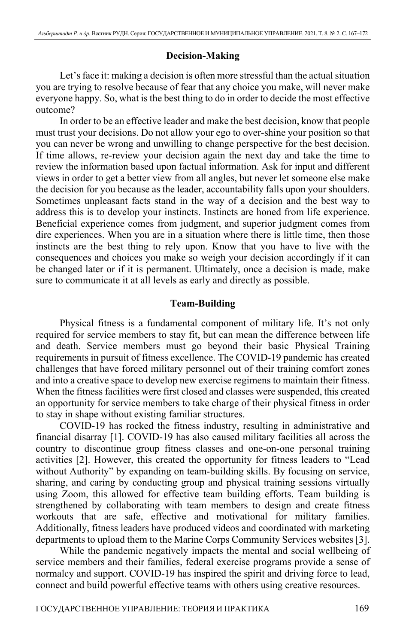## **Decision-Making**

Let's face it: making a decision is often more stressful than the actual situation you are trying to resolve because of fear that any choice you make, will never make everyone happy. So, what is the best thing to do in order to decide the most effective outcome?

In order to be an effective leader and make the best decision, know that people must trust your decisions. Do not allow your ego to over-shine your position so that you can never be wrong and unwilling to change perspective for the best decision. If time allows, re-review your decision again the next day and take the time to review the information based upon factual information. Ask for input and different views in order to get a better view from all angles, but never let someone else make the decision for you because as the leader, accountability falls upon your shoulders. Sometimes unpleasant facts stand in the way of a decision and the best way to address this is to develop your instincts. Instincts are honed from life experience. Beneficial experience comes from judgment, and superior judgment comes from dire experiences. When you are in a situation where there is little time, then those instincts are the best thing to rely upon. Know that you have to live with the consequences and choices you make so weigh your decision accordingly if it can be changed later or if it is permanent. Ultimately, once a decision is made, make sure to communicate it at all levels as early and directly as possible.

### **Team-Building**

Physical fitness is a fundamental component of military life. It's not only required for service members to stay fit, but can mean the difference between life and death. Service members must go beyond their basic Physical Training requirements in pursuit of fitness excellence. The COVID-19 pandemic has created challenges that have forced military personnel out of their training comfort zones and into a creative space to develop new exercise regimens to maintain their fitness. When the fitness facilities were first closed and classes were suspended, this created an opportunity for service members to take charge of their physical fitness in order to stay in shape without existing familiar structures.

COVID-19 has rocked the fitness industry, resulting in administrative and financial disarray [1]. COVID-19 has also caused military facilities all across the country to discontinue group fitness classes and one-on-one personal training activities [2]. However, this created the opportunity for fitness leaders to "Lead without Authority" by expanding on team-building skills. By focusing on service, sharing, and caring by conducting group and physical training sessions virtually using Zoom, this allowed for effective team building efforts. Team building is strengthened by collaborating with team members to design and create fitness workouts that are safe, effective and motivational for military families. Additionally, fitness leaders have produced videos and coordinated with marketing departments to upload them to the Marine Corps Community Services websites [3].

While the pandemic negatively impacts the mental and social wellbeing of service members and their families, federal exercise programs provide a sense of normalcy and support. COVID-19 has inspired the spirit and driving force to lead, connect and build powerful effective teams with others using creative resources.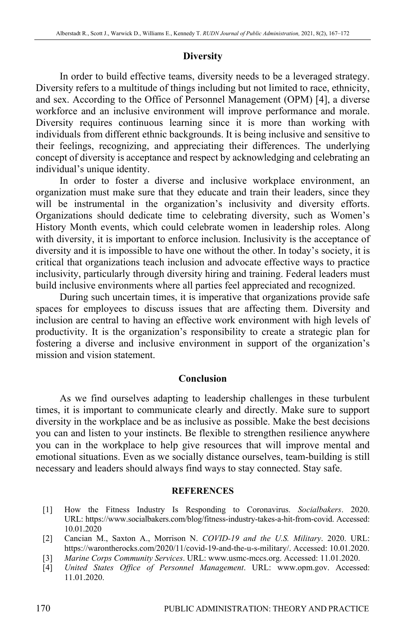## **Diversity**

In order to build effective teams, diversity needs to be a leveraged strategy. Diversity refers to a multitude of things including but not limited to race, ethnicity, and sex. According to the Office of Personnel Management (OPM) [4], a diverse workforce and an inclusive environment will improve performance and morale. Diversity requires continuous learning since it is more than working with individuals from different ethnic backgrounds. It is being inclusive and sensitive to their feelings, recognizing, and appreciating their differences. The underlying concept of diversity is acceptance and respect by acknowledging and celebrating an individual's unique identity.

In order to foster a diverse and inclusive workplace environment, an organization must make sure that they educate and train their leaders, since they will be instrumental in the organization's inclusivity and diversity efforts. Organizations should dedicate time to celebrating diversity, such as Women's History Month events, which could celebrate women in leadership roles. Along with diversity, it is important to enforce inclusion. Inclusivity is the acceptance of diversity and it is impossible to have one without the other. In today's society, it is critical that organizations teach inclusion and advocate effective ways to practice inclusivity, particularly through diversity hiring and training. Federal leaders must build inclusive environments where all parties feel appreciated and recognized.

During such uncertain times, it is imperative that organizations provide safe spaces for employees to discuss issues that are affecting them. Diversity and inclusion are central to having an effective work environment with high levels of productivity. It is the organization's responsibility to create a strategic plan for fostering a diverse and inclusive environment in support of the organization's mission and vision statement.

#### **Conclusion**

As we find ourselves adapting to leadership challenges in these turbulent times, it is important to communicate clearly and directly. Make sure to support diversity in the workplace and be as inclusive as possible. Make the best decisions you can and listen to your instincts. Be flexible to strengthen resilience anywhere you can in the workplace to help give resources that will improve mental and emotional situations. Even as we socially distance ourselves, team-building is still necessary and leaders should always find ways to stay connected. Stay safe.

#### **REFERENCES**

- [1] How the Fitness Industry Is Responding to Coronavirus. *Socialbakers*. 2020. URL: https://www.socialbakers.com/blog/fitness-industry-takes-a-hit-from-covid. Accessed: 10.01.2020
- [2] Cancian M., Saxton A., Morrison N. *COVID-19 and the U.S. Military*. 2020. URL: https://warontherocks.com/2020/11/covid-19-and-the-u-s-military/. Accessed: 10.01.2020.
- [3] *Marine Corps Community Services*. URL: www.usmc-mccs.org. Accessed: 11.01.2020.
- [4] *United States Office of Personnel Management*. URL: www.opm.gov. Accessed: 11.01.2020.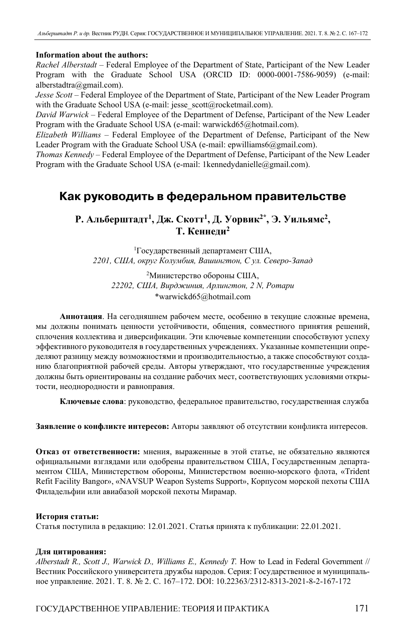#### **Information about the authors:**

*Rachel Alberstadt* – Federal Employee of the Department of State, Participant of the New Leader Program with the Graduate School USA (ORCID ID: 0000-0001-7586-9059) (e-mail: alberstadtra@gmail.com).

*Jesse Scott* – Federal Employee of the Department of State, Participant of the New Leader Program with the Graduate School USA (e-mail: jesse\_scott@rocketmail.com).

*David Warwick* – Federal Employee of the Department of Defense, Participant of the New Leader Program with the Graduate School USA (e-mail: warwickd65@hotmail.com).

*Elizabeth Williams* – Federal Employee of the Department of Defense, Participant of the New Leader Program with the Graduate School USA (e-mail: epwilliams6@gmail.com).

*Thomas Kennedy* – Federal Employee of the Department of Defense, Participant of the New Leader Program with the Graduate School USA (e-mail: 1kennedydanielle@gmail.com).

## **Как руководить в федеральном правительстве**

## **Р. Альберштадт<sup>1</sup> , Дж. Скотт<sup>1</sup> , Д. Уорвик2\*, Э. Уильямс2, Т. Кеннеди<sup>2</sup>**

1 Государственный департамент США, *2201, США, округ Колумбия, Вашингтон, С ул. Северо-Запад*

2 Министерство обороны США, *22202, США, Вирджиния, Арлингтон, 2 N, Ротари* \*warwickd65@hotmail.com

**Аннотация**. На сегодняшнем рабочем месте, особенно в текущие сложные времена, мы должны понимать ценности устойчивости, общения, совместного принятия решений, сплочения коллектива и диверсификации. Эти ключевые компетенции способствуют успеху эффективного руководителя в государственных учреждениях. Указанные компетенции определяют разницу между возможностями и производительностью, а также способствуют созданию благоприятной рабочей среды. Авторы утверждают, что государственные учреждения должны быть ориентированы на создание рабочих мест, соответствующих условиями открытости, неоднородности и равноправия.

**Ключевые слова**: руководство, федеральное правительство, государственная служба

**Заявление о конфликте интересов:** Авторы заявляют об отсутствии конфликта интересов.

**Отказ от ответственности:** мнения, выраженные в этой статье, не обязательно являются официальными взглядами или одобрены правительством США, Государственным департаментом США, Министерством обороны, Министерством военно-морского флота, «Trident Refit Facility Bangor», «NAVSUP Weapon Systems Support», Корпусом морской пехоты США Филадельфии или авиабазой морской пехоты Мирамар.

#### **История статьи:**

Статья поступила в редакцию: 12.01.2021. Статья принята к публикации: 22.01.2021.

#### **Для цитирования:**

*Alberstadt R., Scott J., Warwick D., Williams E., Kennedy T.* How to Lead in Federal Government // Вестник Российского университета дружбы народов. Серия: Государственное и муниципальное управление. 2021. Т. 8. № 2. С. 167–172. DOI: 10.22363/2312-8313-2021-8-2-167-172